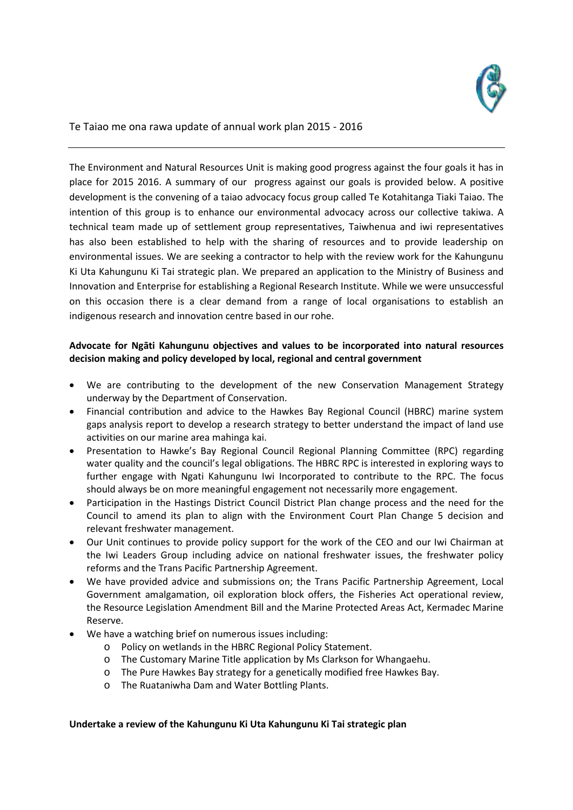

Te Taiao me ona rawa update of annual work plan 2015 - 2016

The Environment and Natural Resources Unit is making good progress against the four goals it has in place for 2015 2016. A summary of our progress against our goals is provided below. A positive development is the convening of a taiao advocacy focus group called Te Kotahitanga Tiaki Taiao. The intention of this group is to enhance our environmental advocacy across our collective takiwa. A technical team made up of settlement group representatives, Taiwhenua and iwi representatives has also been established to help with the sharing of resources and to provide leadership on environmental issues. We are seeking a contractor to help with the review work for the Kahungunu Ki Uta Kahungunu Ki Tai strategic plan. We prepared an application to the Ministry of Business and Innovation and Enterprise for establishing a Regional Research Institute. While we were unsuccessful on this occasion there is a clear demand from a range of local organisations to establish an indigenous research and innovation centre based in our rohe.

## **Advocate for Ngāti Kahungunu objectives and values to be incorporated into natural resources decision making and policy developed by local, regional and central government**

- We are contributing to the development of the new Conservation Management Strategy underway by the Department of Conservation.
- Financial contribution and advice to the Hawkes Bay Regional Council (HBRC) marine system gaps analysis report to develop a research strategy to better understand the impact of land use activities on our marine area mahinga kai.
- Presentation to Hawke's Bay Regional Council Regional Planning Committee (RPC) regarding water quality and the council's legal obligations. The HBRC RPC is interested in exploring ways to further engage with Ngati Kahungunu Iwi Incorporated to contribute to the RPC. The focus should always be on more meaningful engagement not necessarily more engagement.
- Participation in the Hastings District Council District Plan change process and the need for the Council to amend its plan to align with the Environment Court Plan Change 5 decision and relevant freshwater management.
- Our Unit continues to provide policy support for the work of the CEO and our Iwi Chairman at the Iwi Leaders Group including advice on national freshwater issues, the freshwater policy reforms and the Trans Pacific Partnership Agreement.
- We have provided advice and submissions on; the Trans Pacific Partnership Agreement, Local Government amalgamation, oil exploration block offers, the Fisheries Act operational review, the Resource Legislation Amendment Bill and the Marine Protected Areas Act, Kermadec Marine Reserve.
- We have a watching brief on numerous issues including:
	- o Policy on wetlands in the HBRC Regional Policy Statement.
	- o The Customary Marine Title application by Ms Clarkson for Whangaehu.
	- o The Pure Hawkes Bay strategy for a genetically modified free Hawkes Bay.
	- o The Ruataniwha Dam and Water Bottling Plants.

## **Undertake a review of the Kahungunu Ki Uta Kahungunu Ki Tai strategic plan**